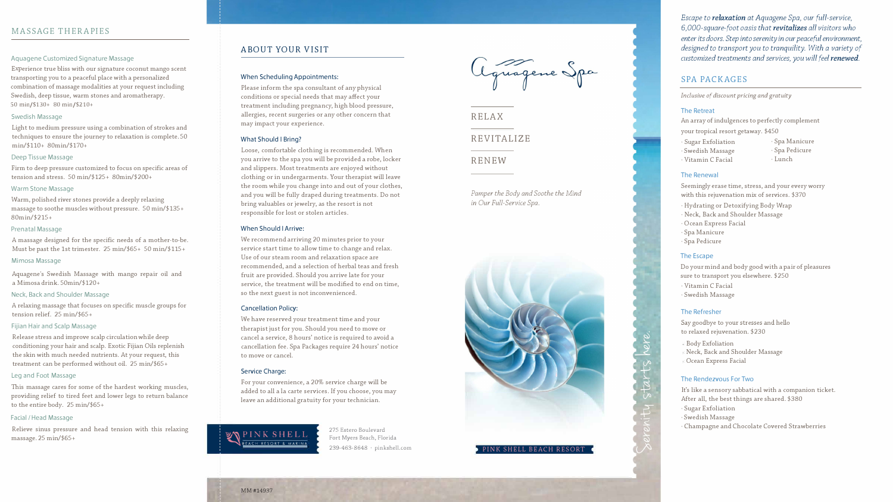# MASSAGE THERAPIES

#### Aquagene Customized Signature Massage

E xp e r i ence true bliss with our signature coconut mango scent tr a nsp o rting you t o a p e aceful pl ace wi th a personalized combination of massage m odalities a t your re quest including Swedish, d e ep tissue, w a r m stones and aro matherapy. SO min/\$130+ 80 min/\$210+

Firm to deep pressure customized to focus on specific areas of t ension an d stress. 50 min/\$125+ 80min/\$200+

#### Swedish Massage

Light to medium pressure u sing a combination of strokes and techniques to ensure the journey to relaxation is complete. 50 min/\$110+ 80min/\$170+

#### De ep Ti s sue Massage

#### Warm Stone Massage

Release stress and improve scalp circulation while deep conditioning your ha i r and scalp. Exotic Fijian Oils replenish the skin with much needed nutrients. At your request, this t r e a tme n t can be performed without oil. 25 min/\$65+

Warm, polished river stones provide a deeply relaxing massage to s o o the muscles without pressure. 50 min/\$135+ 80min/\$215+

#### Prenatal Massage

This massage cares for some of the hardest working muscles, providing relief to tired feet and lower legs to return balance to the entire body. 25 min/\$65+

A massage designed for th e specific needs of a mother-to-be. Must b e p ast th e 1st t rimester. 25 min/\$65+ 50 min/\$115+

#### Mimosa Massage

Aquagene's Swedish Massage with mango repair oil and a Mimosa drink. 50min/\$120+

#### Neck, Back and Shoulder Mas sage

A r elaxing massage that focuses on specific mu scle groups for t ension relief. 2 5 min/\$65+

#### Fijian Hair and Scalp Massage

#### Leg and Foot Massage

### Facial / Head Mas sage

Relieve sinus pressure and head tensi on with this relaxing m a ssage. 25 min/\$65+

# ABOUT YOUR VISIT

#### When Scheduling Appointments:

Please inform the spa consultant of any physical conditions or special needs that may affect your treatment including pregnancy, high blood pressure, allergies, recent surgeries or any other concern that may impact your experience.

#### What Should I Bring?

Loose, comfortable clothing is recommended. When you arrive to the spa you will be provided a robe, locker and slippers. Most treatments are enjoyed without clothing or in undergarments. Your therapist will leave the room while you change into and out of your clothes, and you will be fully draped during treatments. Do not bring valuables or jewelry, as the resort is not responsible for lost or stolen articles.

## When Should I Arrive:



We recommend arriving 20 minutes prior to your service start time to allow time to change and relax. Use of our steam room and relaxation space are recommended, and a selection of herbal teas and fresh fruit are provided. Should you arrive late for your service, the treatment will be modified to end on time, so the next guest is not inconvenienced.

#### Cancellation Policy:

We have reserved your treatment time and your therapist just for you. Should you need to move or cancel a service, 8 hours' notice is required to avoid a cancellation fee. Spa Packages require 24 hours' notice to move or cancel.

#### Service Charge:

For your convenience, a 20% service charge will be added to all a la carte services. If you choose, you may leave an additional gratuity for your technician.

> 275 Estero Boulevard Fort Myers Beach, Florida ' 239-463-8648 · pinkshell.com



RELAX

REVITALIZE

RENEW

*Pamper the Body and Soothe the Mind in Our Full-Service Spa.* 



*Escape to relaxation at Aquagene Spa, our full-service, 6,000-square-foot oasis that revitalizes all visitors who enter its doors. Step into serenity in our peaceful environment, designed to transport you to tranquility. With a variety of customized treatments and services, you will feel renewed.*

# SPA PACKAGES

*Inclusive of discount pricing and gratuity* 

### The Retreat

· Vitamin C Facial

# The Renewal

- An array of indulgences to perfectly complement your tropical resort getaway.  $$450$ <br>· Sugar Exfoliation · Sp
	-
- · Swedish Massage
- · Spa Manicure · Spa Pedicure · Lunch
- 
- 
- Seemingly erase time, stress, and your every worry with this rejuvenation mix of services. \$370
- · Hydrating or Detoxifying Body Wrap
- · Neck, Back and Shoulder Massage
- · Ocean Express Facial
- Do your mind and body good with a pair of pleasures sure to transport you elsewhere. \$250 · Vitamin C Facial · Swedish Massage

· Spa Manicure · Spa Pedicure

# The Escape

 $\beta$ 

## The Refresher

Say goodbye to your stresses and hello to relaxed rejuvenation. \$230

Body Exfoliation Neck, Back and Shoulder Massage Ocean Express Facial

### The Rendezvous For Two

It's like a sensory sabbatical with a companion ticket. After all, the best things are shared. \$380 · Sugar Exfoliation · Swedish Massage · Champagne and Chocolate Covered Strawberries